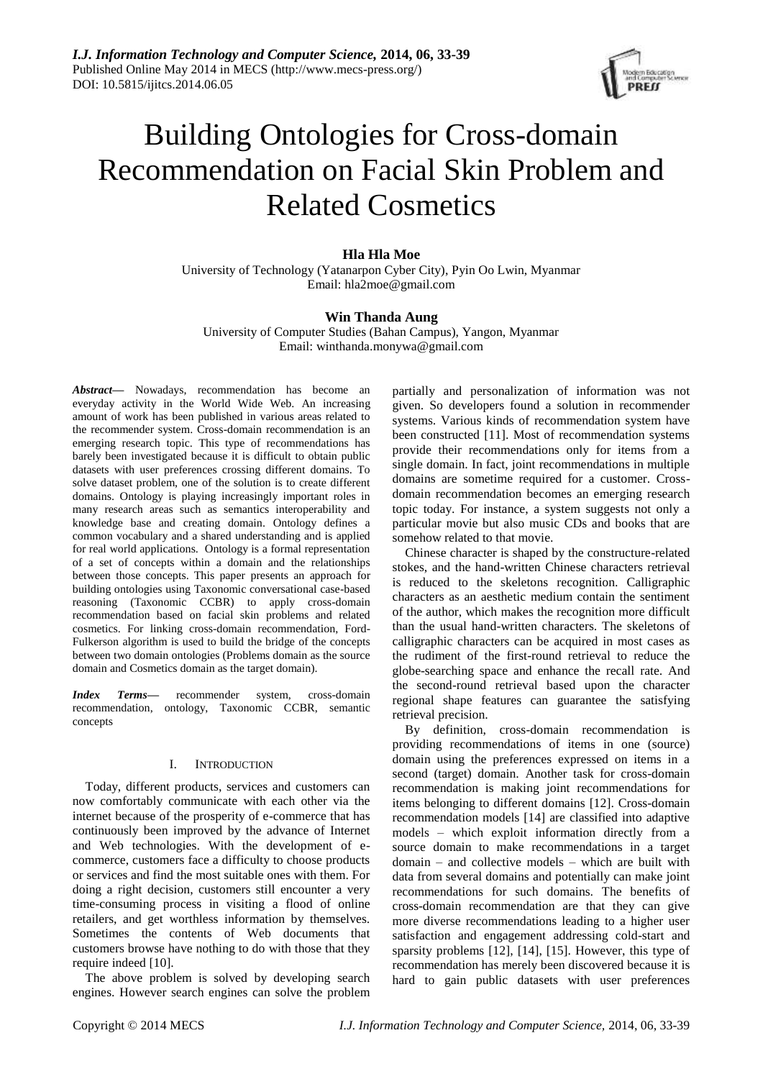

# Building Ontologies for Cross-domain Recommendation on Facial Skin Problem and Related Cosmetics

# **Hla Hla Moe**

University of Technology (Yatanarpon Cyber City), Pyin Oo Lwin, Myanmar Email: [hla2moe@gmail.com](mailto:hla2moe@gmail.com)

# **Win Thanda Aung**

University of Computer Studies (Bahan Campus), Yangon, Myanmar Email: [wint](mailto:fxzhu@public.wh.hb.cn)handa.monywa@gmail.com

*Abstract***—** Nowadays, recommendation has become an everyday activity in the World Wide Web. An increasing amount of work has been published in various areas related to the recommender system. Cross-domain recommendation is an emerging research topic. This type of recommendations has barely been investigated because it is difficult to obtain public datasets with user preferences crossing different domains. To solve dataset problem, one of the solution is to create different domains. Ontology is playing increasingly important roles in many research areas such as semantics interoperability and knowledge base and creating domain. Ontology defines a common vocabulary and a shared understanding and is applied for real world applications. Ontology is a formal representation of a set of concepts within a domain and the relationships between those concepts. This paper presents an approach for building ontologies using Taxonomic conversational case-based reasoning (Taxonomic CCBR) to apply cross-domain recommendation based on facial skin problems and related cosmetics. For linking cross-domain recommendation, Ford-Fulkerson algorithm is used to build the bridge of the concepts between two domain ontologies (Problems domain as the source domain and Cosmetics domain as the target domain).

*Index Terms***—** recommender system, cross-domain recommendation, ontology, Taxonomic CCBR, semantic concepts

## I. INTRODUCTION

Today, different products, services and customers can now comfortably communicate with each other via the internet because of the prosperity of e-commerce that has continuously been improved by the advance of Internet and Web technologies. With the development of ecommerce, customers face a difficulty to choose products or services and find the most suitable ones with them. For doing a right decision, customers still encounter a very time-consuming process in visiting a flood of online retailers, and get worthless information by themselves. Sometimes the contents of Web documents that customers browse have nothing to do with those that they require indeed [10].

The above problem is solved by developing search engines. However search engines can solve the problem partially and personalization of information was not given. So developers found a solution in recommender systems. Various kinds of recommendation system have been constructed [11]. Most of recommendation systems provide their recommendations only for items from a single domain. In fact, joint recommendations in multiple domains are sometime required for a customer. Crossdomain recommendation becomes an emerging research topic today. For instance, a system suggests not only a particular movie but also music CDs and books that are somehow related to that movie.

Chinese character is shaped by the constructure-related stokes, and the hand-written Chinese characters retrieval is reduced to the skeletons recognition. Calligraphic characters as an aesthetic medium contain the sentiment of the author, which makes the recognition more difficult than the usual hand-written characters. The skeletons of calligraphic characters can be acquired in most cases as the rudiment of the first-round retrieval to reduce the globe-searching space and enhance the recall rate. And the second-round retrieval based upon the character regional shape features can guarantee the satisfying retrieval precision.

By definition, cross-domain recommendation is providing recommendations of items in one (source) domain using the preferences expressed on items in a second (target) domain. Another task for cross-domain recommendation is making joint recommendations for items belonging to different domains [12]. Cross-domain recommendation models [14] are classified into adaptive models – which exploit information directly from a source domain to make recommendations in a target domain – and collective models – which are built with data from several domains and potentially can make joint recommendations for such domains. The benefits of cross-domain recommendation are that they can give more diverse recommendations leading to a higher user satisfaction and engagement addressing cold-start and sparsity problems [12], [14], [15]. However, this type of recommendation has merely been discovered because it is hard to gain public datasets with user preferences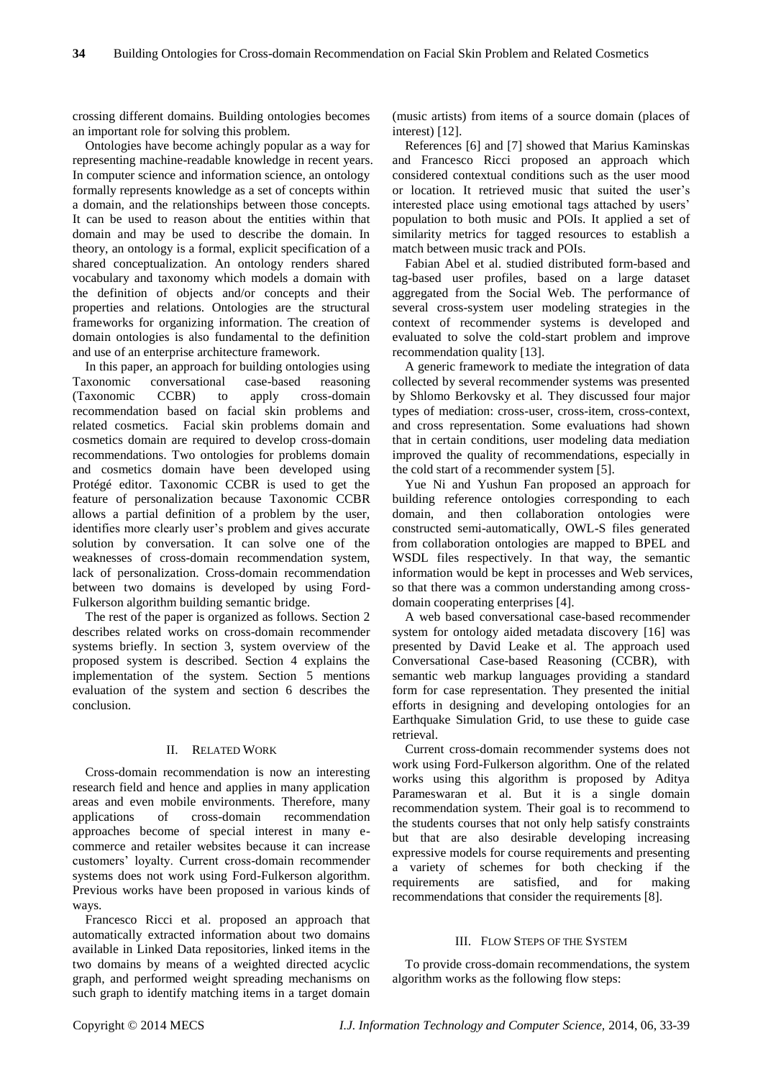crossing different domains. Building ontologies becomes an important role for solving this problem.

Ontologies have become achingly popular as a way for representing machine-readable knowledge in recent years. In computer science and information science, an ontology formally represents knowledge as a set of concepts within a domain, and the relationships between those concepts. It can be used to reason about the entities within that domain and may be used to describe the domain. In theory, an ontology is a formal, explicit specification of a shared conceptualization. An ontology renders shared vocabulary and taxonomy which models a domain with the definition of objects and/or concepts and their properties and relations. Ontologies are the structural frameworks for organizing information. The creation of domain ontologies is also fundamental to the definition and use of an enterprise architecture framework.

In this paper, an approach for building ontologies using Taxonomic conversational case-based reasoning (Taxonomic CCBR) to apply cross-domain recommendation based on facial skin problems and related cosmetics. Facial skin problems domain and cosmetics domain are required to develop cross-domain recommendations. Two ontologies for problems domain and cosmetics domain have been developed using Protégé editor. Taxonomic CCBR is used to get the feature of personalization because Taxonomic CCBR allows a partial definition of a problem by the user, identifies more clearly user's problem and gives accurate solution by conversation. It can solve one of the weaknesses of cross-domain recommendation system, lack of personalization. Cross-domain recommendation between two domains is developed by using Ford-Fulkerson algorithm building semantic bridge.

The rest of the paper is organized as follows. Section 2 describes related works on cross-domain recommender systems briefly. In section 3, system overview of the proposed system is described. Section 4 explains the implementation of the system. Section 5 mentions evaluation of the system and section 6 describes the conclusion.

## II. RELATED WORK

Cross-domain recommendation is now an interesting research field and hence and applies in many application areas and even mobile environments. Therefore, many applications of cross-domain recommendation approaches become of special interest in many ecommerce and retailer websites because it can increase customers' loyalty. Current cross-domain recommender systems does not work using Ford-Fulkerson algorithm. Previous works have been proposed in various kinds of ways.

Francesco Ricci et al. proposed an approach that automatically extracted information about two domains available in Linked Data repositories, linked items in the two domains by means of a weighted directed acyclic graph, and performed weight spreading mechanisms on such graph to identify matching items in a target domain

(music artists) from items of a source domain (places of interest) [12].

References [6] and [7] showed that Marius Kaminskas and Francesco Ricci proposed an approach which considered contextual conditions such as the user mood or location. It retrieved music that suited the user's interested place using emotional tags attached by users' population to both music and POIs. It applied a set of similarity metrics for tagged resources to establish a match between music track and POIs.

Fabian Abel et al. studied distributed form-based and tag-based user profiles, based on a large dataset aggregated from the Social Web. The performance of several cross-system user modeling strategies in the context of recommender systems is developed and evaluated to solve the cold-start problem and improve recommendation quality [13].

A generic framework to mediate the integration of data collected by several recommender systems was presented by Shlomo Berkovsky et al. They discussed four major types of mediation: cross-user, cross-item, cross-context, and cross representation. Some evaluations had shown that in certain conditions, user modeling data mediation improved the quality of recommendations, especially in the cold start of a recommender system [5].

Yue Ni and Yushun Fan proposed an approach for building reference ontologies corresponding to each domain, and then collaboration ontologies were constructed semi-automatically, OWL-S files generated from collaboration ontologies are mapped to BPEL and WSDL files respectively. In that way, the semantic information would be kept in processes and Web services, so that there was a common understanding among crossdomain cooperating enterprises [4].

A web based conversational case-based recommender system for ontology aided metadata discovery [16] was presented by David Leake et al. The approach used Conversational Case-based Reasoning (CCBR), with semantic web markup languages providing a standard form for case representation. They presented the initial efforts in designing and developing ontologies for an Earthquake Simulation Grid, to use these to guide case retrieval.

Current cross-domain recommender systems does not work using Ford-Fulkerson algorithm. One of the related works using this algorithm is proposed by Aditya Parameswaran et al. But it is a single domain recommendation system. Their goal is to recommend to the students courses that not only help satisfy constraints but that are also desirable developing increasing expressive models for course requirements and presenting a variety of schemes for both checking if the requirements are satisfied, and for making recommendations that consider the requirements [8].

## III. FLOW STEPS OF THE SYSTEM

To provide cross-domain recommendations, the system algorithm works as the following flow steps: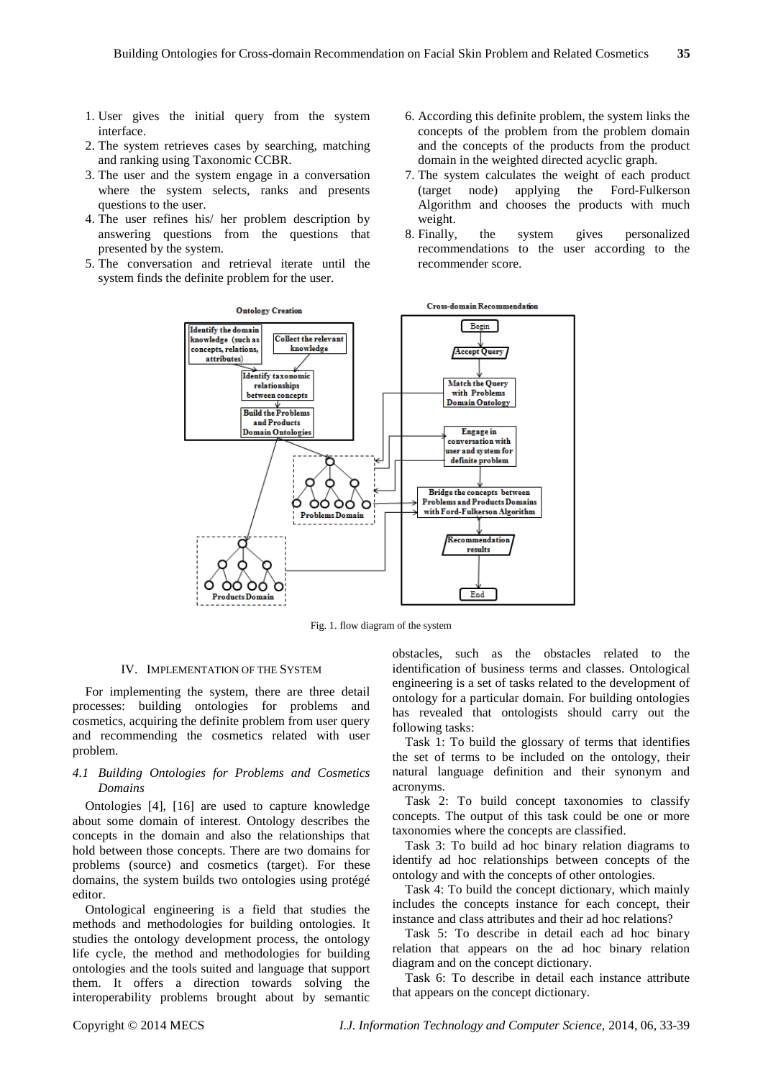- 1. User gives the initial query from the system interface.
- 2. The system retrieves cases by searching, matching and ranking using Taxonomic CCBR.
- 3. The user and the system engage in a conversation where the system selects, ranks and presents questions to the user.
- 4. The user refines his/ her problem description by answering questions from the questions that presented by the system.
- 5. The conversation and retrieval iterate until the system finds the definite problem for the user.
- 6. According this definite problem, the system links the concepts of the problem from the problem domain and the concepts of the products from the product domain in the weighted directed acyclic graph.
- 7. The system calculates the weight of each product (target node) applying the Ford-Fulkerson Algorithm and chooses the products with much weight.
- 8. Finally, the system gives personalized recommendations to the user according to the recommender score.



Fig. 1. flow diagram of the system

#### IV. IMPLEMENTATION OF THE SYSTEM

For implementing the system, there are three detail processes: building ontologies for problems and cosmetics, acquiring the definite problem from user query and recommending the cosmetics related with user problem.

## *4.1 Building Ontologies for Problems and Cosmetics Domains*

Ontologies [4], [16] are used to capture knowledge about some domain of interest. Ontology describes the concepts in the domain and also the relationships that hold between those concepts. There are two domains for problems (source) and cosmetics (target). For these domains, the system builds two ontologies using protégé editor.

Ontological engineering is a field that studies the methods and methodologies for building ontologies. It studies the ontology development process, the ontology life cycle, the method and methodologies for building ontologies and the tools suited and language that support them. It offers a direction towards solving the interoperability problems brought about by semantic obstacles, such as the obstacles related to the identification of business terms and classes. Ontological engineering is a set of tasks related to the development of ontology for a particular domain. For building ontologies has revealed that ontologists should carry out the following tasks:

Task 1: To build the glossary of terms that identifies the set of terms to be included on the ontology, their natural language definition and their synonym and acronyms.

Task 2: To build concept taxonomies to classify concepts. The output of this task could be one or more taxonomies where the concepts are classified.

Task 3: To build ad hoc binary relation diagrams to identify ad hoc relationships between concepts of the ontology and with the concepts of other ontologies.

Task 4: To build the concept dictionary, which mainly includes the concepts instance for each concept, their instance and class attributes and their ad hoc relations?

Task 5: To describe in detail each ad hoc binary relation that appears on the ad hoc binary relation diagram and on the concept dictionary.

Task 6: To describe in detail each instance attribute that appears on the concept dictionary.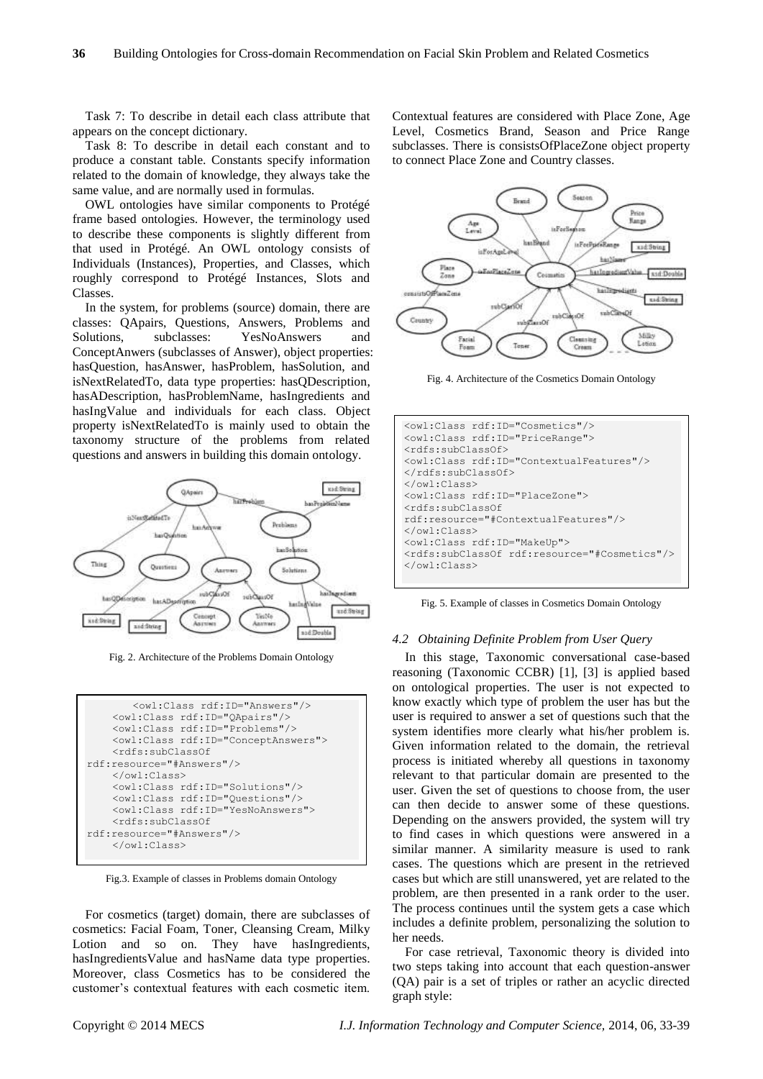Task 7: To describe in detail each class attribute that appears on the concept dictionary.

Task 8: To describe in detail each constant and to produce a constant table. Constants specify information related to the domain of knowledge, they always take the same value, and are normally used in formulas.

OWL ontologies have similar components to Protégé frame based ontologies. However, the terminology used to describe these components is slightly different from that used in Protégé. An OWL ontology consists of Individuals (Instances), Properties, and Classes, which roughly correspond to Protégé Instances, Slots and Classes.

In the system, for problems (source) domain, there are classes: QApairs, Questions, Answers, Problems and Solutions, subclasses: YesNoAnswers ConceptAnwers (subclasses of Answer), object properties: hasQuestion, hasAnswer, hasProblem, hasSolution, and isNextRelatedTo, data type properties: hasQDescription, hasADescription, hasProblemName, hasIngredients and hasIngValue and individuals for each class. Object property isNextRelatedTo is mainly used to obtain the taxonomy structure of the problems from related questions and answers in building this domain ontology.



Fig. 2. Architecture of the Problems Domain Ontology



Fig.3. Example of classes in Problems domain Ontology

For cosmetics (target) domain, there are subclasses of cosmetics: Facial Foam, Toner, Cleansing Cream, Milky Lotion and so on. They have hasIngredients, hasIngredientsValue and hasName data type properties. Moreover, class Cosmetics has to be considered the customer's contextual features with each cosmetic item.

Contextual features are considered with Place Zone, Age Level, Cosmetics Brand, Season and Price Range subclasses. There is consistsOfPlaceZone object property to connect Place Zone and Country classes.



Fig. 4. Architecture of the Cosmetics Domain Ontology

| <owl:class rdf:id="Cosmetics"></owl:class>                                      |  |  |  |  |
|---------------------------------------------------------------------------------|--|--|--|--|
| <owl:class rdf:id="PriceRange"></owl:class>                                     |  |  |  |  |
| <rdfs:subclassof></rdfs:subclassof>                                             |  |  |  |  |
| <owl:class_rdf:id="contextualfeatures"></owl:class_rdf:id="contextualfeatures"> |  |  |  |  |
|                                                                                 |  |  |  |  |
| $\langle$ /owl:Class>                                                           |  |  |  |  |
| <owl:class rdf:td="PlaceZone"></owl:class>                                      |  |  |  |  |
| <rdfs:subclassof< td=""></rdfs:subclassof<>                                     |  |  |  |  |
| rdf: resource="#ContextualFeatures"/>                                           |  |  |  |  |
| $\langle$ /owl:Class>                                                           |  |  |  |  |
| <owl:class rdf:id="MakeUp"></owl:class>                                         |  |  |  |  |
| <rdfs:subclassof rdf:resource="#Cosmetics"></rdfs:subclassof>                   |  |  |  |  |
| $\langle$ /owl:Class>                                                           |  |  |  |  |
|                                                                                 |  |  |  |  |

Fig. 5. Example of classes in Cosmetics Domain Ontology

#### *4.2 Obtaining Definite Problem from User Query*

In this stage, Taxonomic conversational case-based reasoning (Taxonomic CCBR) [1], [3] is applied based on ontological properties. The user is not expected to know exactly which type of problem the user has but the user is required to answer a set of questions such that the system identifies more clearly what his/her problem is. Given information related to the domain, the retrieval process is initiated whereby all questions in taxonomy relevant to that particular domain are presented to the user. Given the set of questions to choose from, the user can then decide to answer some of these questions. Depending on the answers provided, the system will try to find cases in which questions were answered in a similar manner. A similarity measure is used to rank cases. The questions which are present in the retrieved cases but which are still unanswered, yet are related to the problem, are then presented in a rank order to the user. The process continues until the system gets a case which includes a definite problem, personalizing the solution to her needs.

For case retrieval, Taxonomic theory is divided into two steps taking into account that each question-answer (QA) pair is a set of triples or rather an acyclic directed graph style: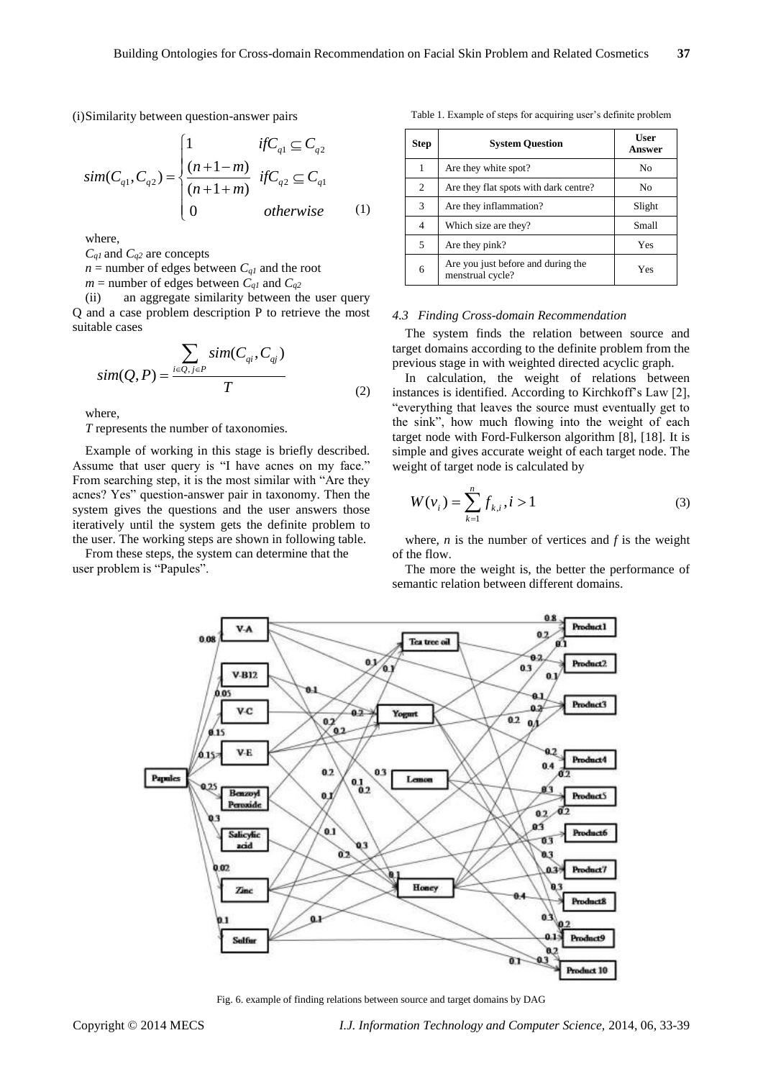(i) Similarity between question-answer pairs  
\n
$$
sim(C_{q1}, C_{q2}) = \begin{cases}\n1 & if C_{q1} \subseteq C_{q2} \\
\frac{(n+1-m)}{(n+1+m)} & if C_{q2} \subseteq C_{q1} \\
0 & otherwise\n\end{cases}
$$
\n(1)

where,

*Cq1* and *Cq2* are concepts

 $n =$  number of edges between  $C_{q1}$  and the root

 $m =$  number of edges between  $C_{q1}$  and  $C_{q2}$ 

(ii) an aggregate similarity between the user query Q and a case problem description P to retrieve the most suitable cases

$$
sim(Q, P) = \frac{\sum_{i \in Q, j \in P} sim(C_{qi}, C_{qj})}{T}
$$
\n(2)

where,

*T* represents the number of taxonomies.

Example of working in this stage is briefly described. Assume that user query is "I have acnes on my face." From searching step, it is the most similar with "Are they acnes? Yes" question-answer pair in taxonomy. Then the system gives the questions and the user answers those iteratively until the system gets the definite problem to the user. The working steps are shown in following table.

From these steps, the system can determine that the user problem is "Papules".

Table 1. Example of steps for acquiring user's definite problem

| <b>Step</b> | <b>System Question</b>                                 | <b>User</b><br>Answer |
|-------------|--------------------------------------------------------|-----------------------|
| 1           | Are they white spot?                                   | N <sub>0</sub>        |
| 2           | Are they flat spots with dark centre?                  | No                    |
| 3           | Are they inflammation?                                 | Slight                |
| 4           | Which size are they?                                   | Small                 |
| 5           | Are they pink?                                         | Yes                   |
| 6           | Are you just before and during the<br>menstrual cycle? | Yes                   |

#### *4.3 Finding Cross-domain Recommendation*

The system finds the relation between source and target domains according to the definite problem from the previous stage in with weighted directed acyclic graph.

In calculation, the weight of relations between instances is identified. According to Kirchkoff's Law [2], "everything that leaves the source must eventually get to the sink", how much flowing into the weight of each target node with Ford-Fulkerson algorithm [8], [18]. It is simple and gives accurate weight of each target node. The weight of target node is calculated by

$$
W(v_i) = \sum_{k=1}^{n} f_{k,i}, i > 1
$$
 (3)

where,  $n$  is the number of vertices and  $f$  is the weight of the flow.

The more the weight is, the better the performance of semantic relation between different domains.



Fig. 6. example of finding relations between source and target domains by DAG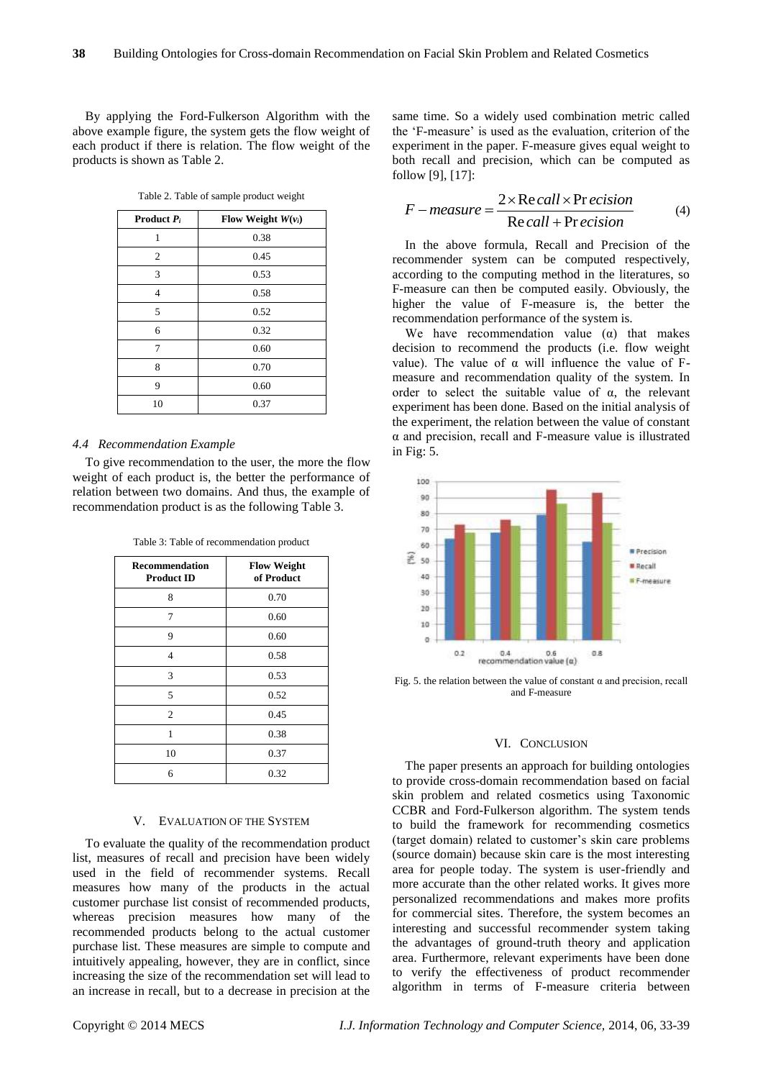By applying the Ford-Fulkerson Algorithm with the above example figure, the system gets the flow weight of each product if there is relation. The flow weight of the products is shown as Table 2.

Table 2. Table of sample product weight

| <b>Product</b> $P_i$ | Flow Weight $W(v_i)$ |
|----------------------|----------------------|
| 1                    | 0.38                 |
| $\overline{2}$       | 0.45                 |
| 3                    | 0.53                 |
| 4                    | 0.58                 |
| 5                    | 0.52                 |
| 6                    | 0.32                 |
| 7                    | 0.60                 |
| 8                    | 0.70                 |
| 9                    | 0.60                 |
| 10                   | 0.37                 |

#### *4.4 Recommendation Example*

To give recommendation to the user, the more the flow weight of each product is, the better the performance of relation between two domains. And thus, the example of recommendation product is as the following Table 3.

| <b>Recommendation</b><br><b>Product ID</b> | <b>Flow Weight</b><br>of Product |
|--------------------------------------------|----------------------------------|
| 8                                          | 0.70                             |
| 7                                          | 0.60                             |
| 9                                          | 0.60                             |
| $\overline{4}$                             | 0.58                             |
| 3                                          | 0.53                             |
| 5                                          | 0.52                             |
| $\overline{c}$                             | 0.45                             |
| 1                                          | 0.38                             |
| 10                                         | 0.37                             |
| 6                                          | 0.32                             |

Table 3: Table of recommendation product

## V. EVALUATION OF THE SYSTEM

To evaluate the quality of the recommendation product list, measures of recall and precision have been widely used in the field of recommender systems. Recall measures how many of the products in the actual customer purchase list consist of recommended products, whereas precision measures how many of the recommended products belong to the actual customer purchase list. These measures are simple to compute and intuitively appealing, however, they are in conflict, since increasing the size of the recommendation set will lead to an increase in recall, but to a decrease in precision at the same time. So a widely used combination metric called the 'F-measure' is used as the evaluation, criterion of the experiment in the paper. F-measure gives equal weight to both recall and precision, which can be computed as follow [9], [17]:

$$
[9], [17]:
$$
  
F-measure = 
$$
\frac{2 \times \text{Re call} \times \text{Pr ecision}}{\text{Re call} + \text{Precision}}
$$
 (4)

In the above formula, Recall and Precision of the recommender system can be computed respectively, according to the computing method in the literatures, so F-measure can then be computed easily. Obviously, the higher the value of F-measure is, the better the recommendation performance of the system is.

We have recommendation value  $(\alpha)$  that makes decision to recommend the products (i.e. flow weight value). The value of α will influence the value of Fmeasure and recommendation quality of the system. In order to select the suitable value of  $\alpha$ , the relevant experiment has been done. Based on the initial analysis of the experiment, the relation between the value of constant α and precision, recall and F-measure value is illustrated in Fig: 5.



Fig. 5. the relation between the value of constant  $\alpha$  and precision, recall and F-measure

#### VI. CONCLUSION

The paper presents an approach for building ontologies to provide cross-domain recommendation based on facial skin problem and related cosmetics using Taxonomic CCBR and Ford-Fulkerson algorithm. The system tends to build the framework for recommending cosmetics (target domain) related to customer's skin care problems (source domain) because skin care is the most interesting area for people today. The system is user-friendly and more accurate than the other related works. It gives more personalized recommendations and makes more profits for commercial sites. Therefore, the system becomes an interesting and successful recommender system taking the advantages of ground-truth theory and application area. Furthermore, relevant experiments have been done to verify the effectiveness of product recommender algorithm in terms of F-measure criteria between